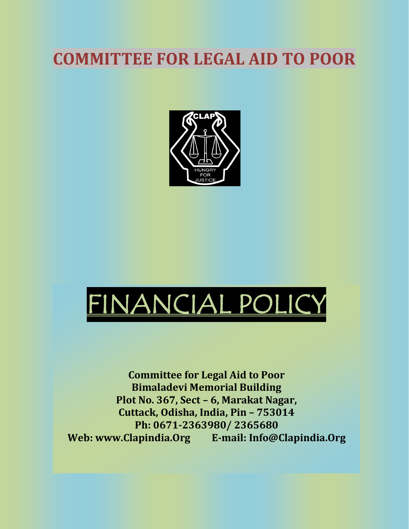## **COMMITTEE FOR LEGAL AID TO POOR**





**Committee for Legal Aid to Poor Bimaladevi Memorial Building Plot No. 367, Sect – 6, Marakat Nagar, Cuttack, Odisha, India, Pin – 753014 Ph: 0671-2363980/ 2365680 Web: www.Clapindia.Org E-mail: Info@Clapindia.Org**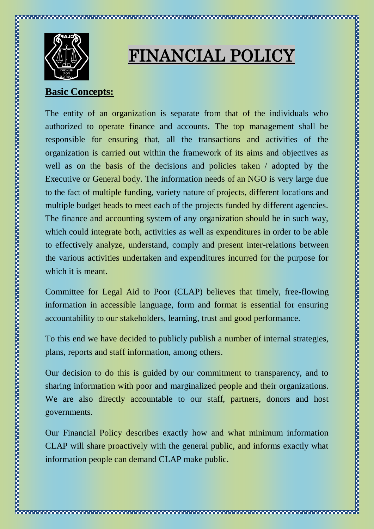

# FINANCIAL POLICY

#### **Basic Concepts:**

The entity of an organization is separate from that of the individuals who authorized to operate finance and accounts. The top management shall be responsible for ensuring that, all the transactions and activities of the organization is carried out within the framework of its aims and objectives as well as on the basis of the decisions and policies taken / adopted by the Executive or General body. The information needs of an NGO is very large due to the fact of multiple funding, variety nature of projects, different locations and multiple budget heads to meet each of the projects funded by different agencies. The finance and accounting system of any organization should be in such way, which could integrate both, activities as well as expenditures in order to be able to effectively analyze, understand, comply and present inter-relations between the various activities undertaken and expenditures incurred for the purpose for which it is meant.

Committee for Legal Aid to Poor (CLAP) believes that timely, free-flowing information in accessible language, form and format is essential for ensuring accountability to our stakeholders, learning, trust and good performance.

To this end we have decided to publicly publish a number of internal strategies, plans, reports and staff information, among others.

Our decision to do this is guided by our commitment to transparency, and to sharing information with poor and marginalized people and their organizations. We are also directly accountable to our staff, partners, donors and host governments.

Our Financial Policy describes exactly how and what minimum information CLAP will share proactively with the general public, and informs exactly what information people can demand CLAP make public.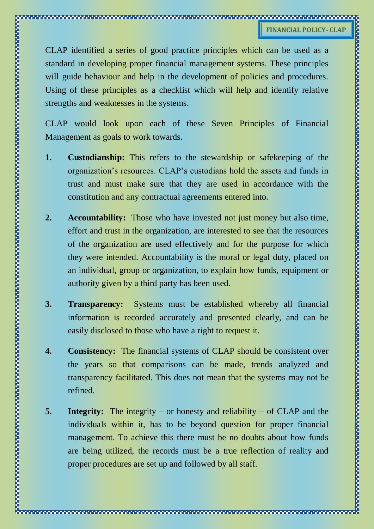CLAP identified a series of good practice principles which can be used as a standard in developing proper financial management systems. These principles will guide behaviour and help in the development of policies and procedures. Using of these principles as a checklist which will help and identify relative strengths and weaknesses in the systems.

CLAP would look upon each of these Seven Principles of Financial Management as goals to work towards.

- **1. Custodianship:** This refers to the stewardship or safekeeping of the organization's resources. CLAP's custodians hold the assets and funds in trust and must make sure that they are used in accordance with the constitution and any contractual agreements entered into.
- **2. Accountability:** Those who have invested not just money but also time, effort and trust in the organization, are interested to see that the resources of the organization are used effectively and for the purpose for which they were intended. Accountability is the moral or legal duty, placed on an individual, group or organization, to explain how funds, equipment or authority given by a third party has been used.
- **3. Transparency:** Systems must be established whereby all financial information is recorded accurately and presented clearly, and can be easily disclosed to those who have a right to request it.
- **4. Consistency:** The financial systems of CLAP should be consistent over the years so that comparisons can be made, trends analyzed and transparency facilitated. This does not mean that the systems may not be refined.
- **5.** Integrity: The integrity or honesty and reliability of CLAP and the individuals within it, has to be beyond question for proper financial management. To achieve this there must be no doubts about how funds are being utilized, the records must be a true reflection of reality and proper procedures are set up and followed by all staff.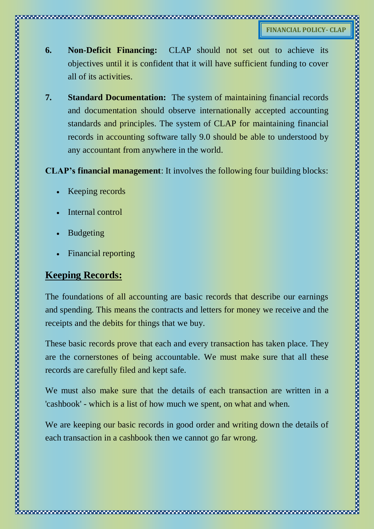- **6. Non-Deficit Financing:** CLAP should not set out to achieve its objectives until it is confident that it will have sufficient funding to cover all of its activities.
- **7. Standard Documentation:** The system of maintaining financial records and documentation should observe internationally accepted accounting standards and principles. The system of CLAP for maintaining financial records in accounting software tally 9.0 should be able to understood by any accountant from anywhere in the world.

**CLAP's financial management**: It involves the following four building blocks:

- Keeping records
- Internal control
- Budgeting
- Financial reporting

#### **Keeping Records:**

The foundations of all accounting are basic records that describe our earnings and spending. This means the contracts and letters for money we receive and the receipts and the debits for things that we buy.

These basic records prove that each and every transaction has taken place. They are the cornerstones of being accountable. We must make sure that all these records are carefully filed and kept safe.

We must also make sure that the details of each transaction are written in a 'cashbook' - which is a list of how much we spent, on what and when.

We are keeping our basic records in good order and writing down the details of each transaction in a cashbook then we cannot go far wrong.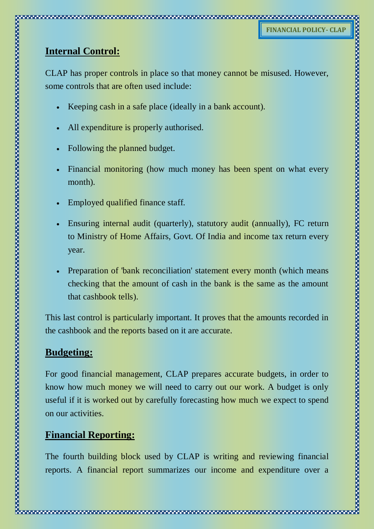### **Internal Control:**

CLAP has proper controls in place so that money cannot be misused. However, some controls that are often used include:

- Keeping cash in a safe place (ideally in a bank account).
- All expenditure is properly authorised.
- Following the planned budget.
- Financial monitoring (how much money has been spent on what every month).
- Employed qualified finance staff.
- Ensuring internal audit (quarterly), statutory audit (annually), FC return to Ministry of Home Affairs, Govt. Of India and income tax return every
- Preparation of 'bank reconciliation' statement every month (which means checking that the amount of cash in the bank is the same as the amount that cashbook tells).

This last control is particularly important. It proves that the amounts recorded in the cashbook and the reports based on it are accurate.

#### **Budgeting:**

For good financial management, CLAP prepares accurate budgets, in order to know how much money we will need to carry out our work. A budget is only useful if it is worked out by carefully forecasting how much we expect to spend on our activities.

#### **Financial Reporting:**

The fourth building block used by CLAP is writing and reviewing financial reports. A financial report summarizes our income and expenditure over a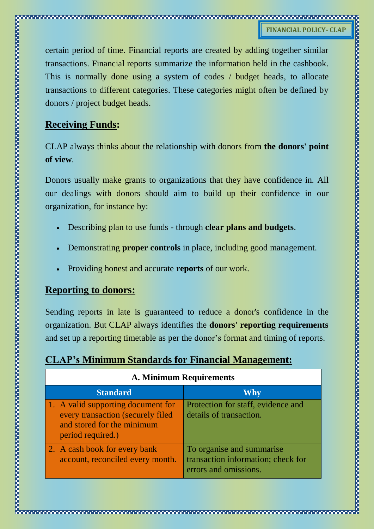certain period of time. Financial reports are created by adding together similar transactions. Financial reports summarize the information held in the cashbook. This is normally done using a system of codes / budget heads, to allocate transactions to different categories. These categories might often be defined by donors / project budget heads.

#### **Receiving Funds:**

CLAP always thinks about the relationship with donors from **the donors' point of view**.

Donors usually make grants to organizations that they have confidence in. All our dealings with donors should aim to build up their confidence in our organization, for instance by:

- Describing plan to use funds through **clear plans and budgets**.
- Demonstrating **proper controls** in place, including good management.
- Providing honest and accurate **reports** of our work.

#### **Reporting to donors:**

Sending reports in late is guaranteed to reduce a donor's confidence in the organization. But CLAP always identifies the **donors' reporting requirements**  and set up a reporting timetable as per the donor's format and timing of reports.

|  |  |  |  |  | <b>CLAP's Minimum Standards for Financial Management:</b> |
|--|--|--|--|--|-----------------------------------------------------------|
|--|--|--|--|--|-----------------------------------------------------------|

| A. Minimum Requirements                                                                                                    |                                                                                          |  |  |  |
|----------------------------------------------------------------------------------------------------------------------------|------------------------------------------------------------------------------------------|--|--|--|
| <b>Standard</b>                                                                                                            | <b>Why</b>                                                                               |  |  |  |
| 1. A valid supporting document for<br>every transaction (securely filed<br>and stored for the minimum<br>period required.) | Protection for staff, evidence and<br>details of transaction.                            |  |  |  |
| 2. A cash book for every bank<br>account, reconciled every month.                                                          | To organise and summarise<br>transaction information; check for<br>errors and omissions. |  |  |  |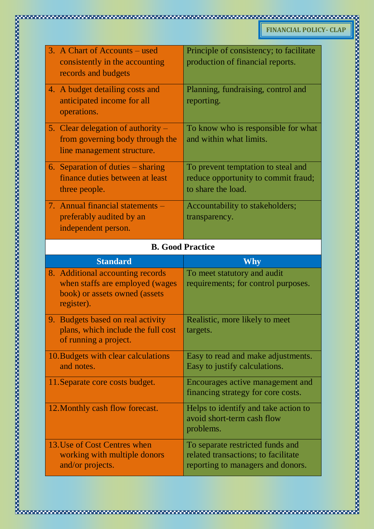|  | 3. A Chart of Accounts – used        | Principle of consistency; to facilitate |  |  |
|--|--------------------------------------|-----------------------------------------|--|--|
|  | consistently in the accounting       | production of financial reports.        |  |  |
|  | records and budgets                  |                                         |  |  |
|  | 4. A budget detailing costs and      | Planning, fundraising, control and      |  |  |
|  | anticipated income for all           | reporting.                              |  |  |
|  | operations.                          |                                         |  |  |
|  | 5. Clear delegation of authority $-$ | To know who is responsible for what     |  |  |
|  | from governing body through the      | and within what limits.                 |  |  |
|  | line management structure.           |                                         |  |  |
|  | 6. Separation of duties – sharing    | To prevent temptation to steal and      |  |  |
|  | finance duties between at least      | reduce opportunity to commit fraud;     |  |  |
|  | three people.                        | to share the load.                      |  |  |
|  | 7. Annual financial statements –     | Accountability to stakeholders;         |  |  |
|  | preferably audited by an             | transparency.                           |  |  |
|  | independent person.                  |                                         |  |  |
|  |                                      |                                         |  |  |
|  | <b>B. Good Practice</b>              |                                         |  |  |
|  |                                      |                                         |  |  |
|  | <b>Standard</b>                      | <b>Why</b>                              |  |  |
|  | 8. Additional accounting records     | To meet statutory and audit             |  |  |
|  | when staffs are employed (wages      | requirements; for control purposes.     |  |  |
|  | book) or assets owned (assets        |                                         |  |  |
|  | register).                           |                                         |  |  |
|  | 9. Budgets based on real activity    | Realistic, more likely to meet          |  |  |
|  | plans, which include the full cost   | targets.                                |  |  |
|  | of running a project.                |                                         |  |  |
|  | 10. Budgets with clear calculations  | Easy to read and make adjustments.      |  |  |
|  | and notes.                           | Easy to justify calculations.           |  |  |
|  | 11. Separate core costs budget.      | Encourages active management and        |  |  |
|  |                                      | financing strategy for core costs.      |  |  |
|  | 12. Monthly cash flow forecast.      | Helps to identify and take action to    |  |  |
|  |                                      | avoid short-term cash flow              |  |  |
|  |                                      | problems.                               |  |  |
|  | 13. Use of Cost Centres when         | To separate restricted funds and        |  |  |
|  | working with multiple donors         | related transactions; to facilitate     |  |  |